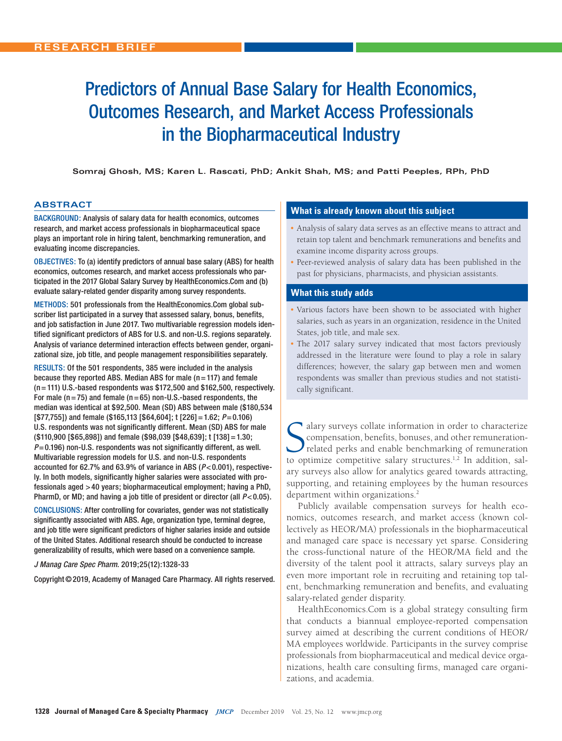# Predictors of Annual Base Salary for Health Economics, Outcomes Research, and Market Access Professionals in the Biopharmaceutical Industry

**Somraj Ghosh, MS; Karen L. Rascati, PhD; Ankit Shah, MS; and Patti Peeples, RPh, PhD**

# **ABSTRACT**

BACKGROUND: Analysis of salary data for health economics, outcomes research, and market access professionals in biopharmaceutical space plays an important role in hiring talent, benchmarking remuneration, and evaluating income discrepancies.

OBJECTIVES: To (a) identify predictors of annual base salary (ABS) for health economics, outcomes research, and market access professionals who participated in the 2017 Global Salary Survey by HealthEconomics.Com and (b) evaluate salary-related gender disparity among survey respondents.

METHODS: 501 professionals from the HealthEconomics.Com global subscriber list participated in a survey that assessed salary, bonus, benefits, and job satisfaction in June 2017. Two multivariable regression models identified significant predictors of ABS for U.S. and non-U.S. regions separately. Analysis of variance determined interaction effects between gender, organizational size, job title, and people management responsibilities separately.

RESULTS: Of the 501 respondents, 385 were included in the analysis because they reported ABS. Median ABS for male  $(n=117)$  and female (n=111) U.S.-based respondents was \$172,500 and \$162,500, respectively. For male ( $n=75$ ) and female ( $n=65$ ) non-U.S.-based respondents, the median was identical at \$92,500. Mean (SD) ABS between male (\$180,534 [\$77,755]) and female (\$165,113 [\$64,604]; t [226]=1.62; *P*=0.106) U.S. respondents was not significantly different. Mean (SD) ABS for male (\$110,900 [\$65,898]) and female (\$98,039 [\$48,639]; t [138]=1.30; *P*=0.196) non-U.S. respondents was not significantly different, as well. Multivariable regression models for U.S. and non-U.S. respondents accounted for 62.7% and 63.9% of variance in ABS (*P*<0.001), respectively. In both models, significantly higher salaries were associated with professionals aged >40 years; biopharmaceutical employment; having a PhD, PharmD, or MD; and having a job title of president or director (all *P*<0.05).

CONCLUSIONS: After controlling for covariates, gender was not statistically significantly associated with ABS. Age, organization type, terminal degree, and job title were significant predictors of higher salaries inside and outside of the United States. Additional research should be conducted to increase generalizability of results, which were based on a convenience sample.

#### *J Manag Care Spec Pharm.* 2019;25(12):1328-33

Copyright©2019, Academy of Managed Care Pharmacy. All rights reserved.

# **What is already known about this subject**

- Analysis of salary data serves as an effective means to attract and retain top talent and benchmark remunerations and benefits and examine income disparity across groups.
- Peer-reviewed analysis of salary data has been published in the past for physicians, pharmacists, and physician assistants.

## **What this study adds**

- Various factors have been shown to be associated with higher salaries, such as years in an organization, residence in the United States, job title, and male sex.
- The 2017 salary survey indicated that most factors previously addressed in the literature were found to play a role in salary differences; however, the salary gap between men and women respondents was smaller than previous studies and not statistically significant.

Salary surveys collate information in order to characterize compensation, benefits, bonuses, and other remuneration-<br>related perks and enable benchmarking of remuneration-<br>to optimize competitive salary structures.<sup>1,2</sup> In alary surveys collate information in order to characterize compensation, benefits, bonuses, and other remunerationrelated perks and enable benchmarking of remuneration ary surveys also allow for analytics geared towards attracting, supporting, and retaining employees by the human resources department within organizations.<sup>2</sup>

Publicly available compensation surveys for health economics, outcomes research, and market access (known collectively as HEOR/MA) professionals in the biopharmaceutical and managed care space is necessary yet sparse. Considering the cross-functional nature of the HEOR/MA field and the diversity of the talent pool it attracts, salary surveys play an even more important role in recruiting and retaining top talent, benchmarking remuneration and benefits, and evaluating salary-related gender disparity.

HealthEconomics.Com is a global strategy consulting firm that conducts a biannual employee-reported compensation survey aimed at describing the current conditions of HEOR/ MA employees worldwide. Participants in the survey comprise professionals from biopharmaceutical and medical device organizations, health care consulting firms, managed care organizations, and academia.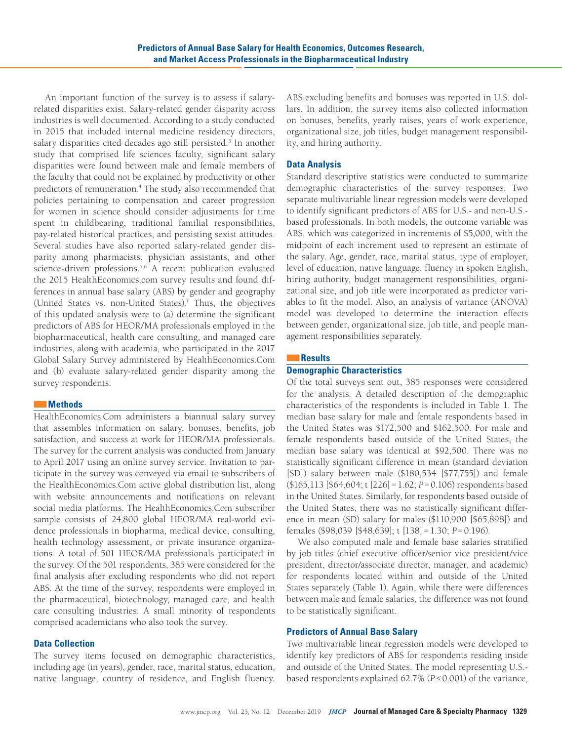An important function of the survey is to assess if salaryrelated disparities exist. Salary-related gender disparity across industries is well documented. According to a study conducted in 2015 that included internal medicine residency directors, salary disparities cited decades ago still persisted.<sup>3</sup> In another study that comprised life sciences faculty, significant salary disparities were found between male and female members of the faculty that could not be explained by productivity or other predictors of remuneration.<sup>4</sup> The study also recommended that policies pertaining to compensation and career progression for women in science should consider adjustments for time spent in childbearing, traditional familial responsibilities, pay-related historical practices, and persisting sexist attitudes. Several studies have also reported salary-related gender disparity among pharmacists, physician assistants, and other science-driven professions.<sup>5,6</sup> A recent publication evaluated the 2015 HealthEconomics.com survey results and found differences in annual base salary (ABS) by gender and geography (United States vs. non-United States).<sup>7</sup> Thus, the objectives of this updated analysis were to (a) determine the significant predictors of ABS for HEOR/MA professionals employed in the biopharmaceutical, health care consulting, and managed care industries, along with academia, who participated in the 2017 Global Salary Survey administered by HealthEconomics.Com and (b) evaluate salary-related gender disparity among the survey respondents.

# ■■**Methods**

HealthEconomics.Com administers a biannual salary survey that assembles information on salary, bonuses, benefits, job satisfaction, and success at work for HEOR/MA professionals. The survey for the current analysis was conducted from January to April 2017 using an online survey service. Invitation to participate in the survey was conveyed via email to subscribers of the HealthEconomics.Com active global distribution list, along with website announcements and notifications on relevant social media platforms. The HealthEconomics.Com subscriber sample consists of 24,800 global HEOR/MA real-world evidence professionals in biopharma, medical device, consulting, health technology assessment, or private insurance organizations. A total of 501 HEOR/MA professionals participated in the survey. Of the 501 respondents, 385 were considered for the final analysis after excluding respondents who did not report ABS. At the time of the survey, respondents were employed in the pharmaceutical, biotechnology, managed care, and health care consulting industries. A small minority of respondents comprised academicians who also took the survey.

# **Data Collection**

The survey items focused on demographic characteristics, including age (in years), gender, race, marital status, education, native language, country of residence, and English fluency. ABS excluding benefits and bonuses was reported in U.S. dollars. In addition, the survey items also collected information on bonuses, benefits, yearly raises, years of work experience, organizational size, job titles, budget management responsibility, and hiring authority.

# **Data Analysis**

Standard descriptive statistics were conducted to summarize demographic characteristics of the survey responses. Two separate multivariable linear regression models were developed to identify significant predictors of ABS for U.S.- and non-U.S. based professionals. In both models, the outcome variable was ABS, which was categorized in increments of \$5,000, with the midpoint of each increment used to represent an estimate of the salary. Age, gender, race, marital status, type of employer, level of education, native language, fluency in spoken English, hiring authority, budget management responsibilities, organizational size, and job title were incorporated as predictor variables to fit the model. Also, an analysis of variance (ANOVA) model was developed to determine the interaction effects between gender, organizational size, job title, and people management responsibilities separately.

## ■■**Results**

# **Demographic Characteristics**

Of the total surveys sent out, 385 responses were considered for the analysis. A detailed description of the demographic characteristics of the respondents is included in Table 1. The median base salary for male and female respondents based in the United States was \$172,500 and \$162,500. For male and female respondents based outside of the United States, the median base salary was identical at \$92,500. There was no statistically significant difference in mean (standard deviation [SD]) salary between male (\$180,534 [\$77,755]) and female (\$165,113 [\$64,604; t [226]=1.62; *P*=0.106) respondents based in the United States. Similarly, for respondents based outside of the United States, there was no statistically significant difference in mean (SD) salary for males (\$110,900 [\$65,898]) and females (\$98,039 [\$48,639]; t [138]=1.30; *P*=0.196).

We also computed male and female base salaries stratified by job titles (chief executive officer/senior vice president/vice president, director/associate director, manager, and academic) for respondents located within and outside of the United States separately (Table 1). Again, while there were differences between male and female salaries, the difference was not found to be statistically significant.

## **Predictors of Annual Base Salary**

Two multivariable linear regression models were developed to identify key predictors of ABS for respondents residing inside and outside of the United States. The model representing U.S. based respondents explained 62.7% (*P*≤0.001) of the variance,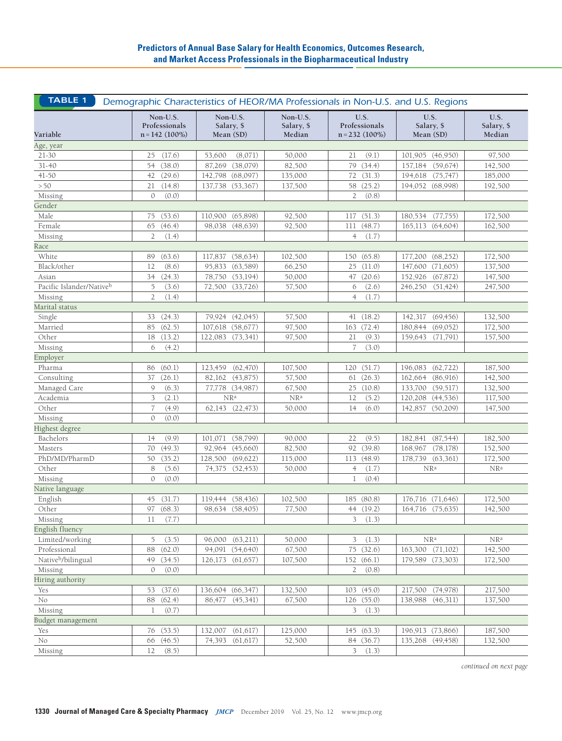| <b>TABLE 1</b><br>Demographic Characteristics of HEOR/MA Professionals in Non-U.S. and U.S. Regions |                                               |                                     |                                  |                                           |                                 |                              |  |
|-----------------------------------------------------------------------------------------------------|-----------------------------------------------|-------------------------------------|----------------------------------|-------------------------------------------|---------------------------------|------------------------------|--|
| Variable                                                                                            | Non-U.S.<br>Professionals<br>$n = 142$ (100%) | Non-U.S.<br>Salary, \$<br>Mean (SD) | Non-U.S.<br>Salary, \$<br>Median | U.S.<br>Professionals<br>$n = 232$ (100%) | U.S.<br>Salary, \$<br>Mean (SD) | U.S.<br>Salary, \$<br>Median |  |
| Age, year                                                                                           |                                               |                                     |                                  |                                           |                                 |                              |  |
| 21-30                                                                                               | (17.6)<br>25                                  | 53,600<br>(8,071)                   | 50,000                           | (9.1)<br>21                               | 101,905 (46,950)                | 97,500                       |  |
| $31 - 40$                                                                                           | (38.0)<br>54                                  | (38,079)<br>87,269                  | 82,500                           | (34.4)<br>79                              | 157,184<br>(59, 674)            | 142,500                      |  |
| 41-50                                                                                               | (29.6)<br>42                                  | 142,798<br>(68,097)                 | 135,000                          | (31.3)<br>72                              | 194,618 (75,747)                | 185,000                      |  |
| $>50$                                                                                               | 21<br>(14.8)                                  | 137,738 (53,367)                    | 137,500                          | 58 (25.2)                                 | 194,052 (68,998)                | 192,500                      |  |
| Missing                                                                                             | (0.0)<br>0                                    |                                     |                                  | $\overline{2}$<br>(0.8)                   |                                 |                              |  |
| Gender                                                                                              |                                               |                                     |                                  |                                           |                                 |                              |  |
| Male                                                                                                | 75<br>(53.6)                                  | 110,900 (65,898)                    | 92,500                           | (51.3)<br>117                             | 180,534 (77,755)                | 172,500                      |  |
| Female                                                                                              | (46.4)<br>65                                  | 98,038 (48,639)                     | 92,500                           | (48.7)<br>111                             | 165,113 (64,604)                | 162,500                      |  |
| Missing                                                                                             | $\overline{2}$<br>(1.4)                       |                                     |                                  | $\overline{4}$<br>(1.7)                   |                                 |                              |  |
| Race                                                                                                |                                               |                                     |                                  |                                           |                                 |                              |  |
| White                                                                                               | (63.6)<br>89                                  | 117,837<br>(58, 634)                | 102,500                          | (65.8)<br>150                             | (68, 252)<br>177,200            | 172,500                      |  |
| Black/other                                                                                         | (8.6)<br>12                                   | (63, 589)<br>95,833                 | 66,250                           | (11.0)<br>25                              | (71,605)<br>147,600             | 137,500                      |  |
| Asian                                                                                               | 34<br>(24.3)                                  | 78,750<br>(53, 194)                 | 50,000                           | (20.6)<br>47                              | 152,926<br>(67, 872)            | 147,500                      |  |
| Pacific Islander/Nativeb                                                                            | 5<br>(3.6)                                    | 72,500<br>(33,726)                  | 57,500                           | (2.6)<br>6                                | 246,250<br>(51, 424)            | 247,500                      |  |
| Missing                                                                                             | $\overline{2}$<br>(1.4)                       |                                     |                                  | (1.7)<br>$\overline{4}$                   |                                 |                              |  |
| Marital status                                                                                      |                                               |                                     |                                  |                                           |                                 |                              |  |
| Single                                                                                              | 33<br>(24.3)                                  | 79,924 (42,045)                     | 57,500                           | 41 $(18.2)$                               | 142,317 (69,456)                | 132,500                      |  |
| Married                                                                                             | (62.5)<br>85                                  | 107,618 (58,677)                    | 97,500                           | 163 (72.4)                                | 180,844<br>(69,052)             | 172,500                      |  |
| Other                                                                                               | (13.2)<br>18                                  | 122,083 (73,341)                    | 97,500                           | (9.3)<br>21                               | 159,643<br>(71, 791)            | 157,500                      |  |
| Missing                                                                                             | (4.2)<br>6                                    |                                     |                                  | $\overline{7}$<br>(3.0)                   |                                 |                              |  |
| Employer                                                                                            |                                               |                                     |                                  |                                           |                                 |                              |  |
| Pharma                                                                                              | (60.1)                                        | (62, 470)<br>123,459                | 107,500                          | (51.7)<br>120                             | (62, 722)<br>196,083            | 187,500                      |  |
| Consulting                                                                                          | 86<br>(26.1)<br>37                            | 82,162 (43,875)                     | 57,500                           | (26.3)<br>61                              | 162,664<br>(86,916)             | 142,500                      |  |
| Managed Care                                                                                        | (6.3)<br>9                                    | 77,778 (34,987)                     | 67,500                           | 25 (10.8)                                 | 133,700<br>(59, 517)            | 132,500                      |  |
| Academia                                                                                            | 3<br>(2.1)                                    | NR <sup>a</sup>                     | NR <sup>a</sup>                  | (5.2)<br>12                               | 120,208 (44,536)                | 117,500                      |  |
| Other                                                                                               | $\overline{7}$                                |                                     | 50,000                           |                                           |                                 |                              |  |
|                                                                                                     | (4.9)<br>(0.0)<br>$\mathcal{O}$               | 62,143 (22,473)                     |                                  | (6.0)<br>14                               | 142,857 (50,209)                | 147,500                      |  |
| Missing                                                                                             |                                               |                                     |                                  |                                           |                                 |                              |  |
| Highest degree                                                                                      |                                               |                                     |                                  |                                           |                                 |                              |  |
| Bachelors                                                                                           | 14<br>(9.9)                                   | (58, 799)<br>101,071                | 90,000                           | 22<br>(9.5)                               | 182,841<br>(87, 544)            | 182,500                      |  |
| Masters                                                                                             | (49.3)<br>70                                  | 92,964<br>(45,660)                  | 82,500                           | (39.8)<br>92                              | 168,967<br>(78,178)             | 152,500                      |  |
| PhD/MD/PharmD                                                                                       | (35.2)<br>50                                  | 128,500<br>(69, 622)                | 115,000                          | (48.9)<br>113                             | 178,739 (63,361)                | 172,500                      |  |
| Other                                                                                               | (5.6)<br>8                                    | 74,375<br>(52, 453)                 | 50,000                           | $\overline{4}$<br>(1.7)                   | NR <sup>a</sup>                 | NR <sup>a</sup>              |  |
| Missing                                                                                             | (0.0)<br>$\mathcal{O}$                        |                                     |                                  | (0.4)<br>$\mathbf{1}$                     |                                 |                              |  |
| Native language                                                                                     |                                               |                                     |                                  |                                           |                                 |                              |  |
| English                                                                                             | (31.7)<br>45                                  | 119,444 (58,436)                    | 102,500                          | 185 (80.8)                                | 176,716 (71,646)                | 172,500                      |  |
| Other                                                                                               | 97 (68.3)                                     | 98,634 (58,405)                     | 77,500                           | 44 (19.2)                                 | 164,716 (75,635)                | 142,500                      |  |
| Missing                                                                                             | $11 -$<br>(7.7)                               |                                     |                                  | 3 (1.3)                                   |                                 |                              |  |
| English fluency                                                                                     |                                               |                                     |                                  |                                           |                                 |                              |  |
| Limited/working                                                                                     | 5<br>(3.5)                                    | (63,211)<br>96,000                  | 50,000                           | 3<br>(1.3)                                | NR <sup>a</sup>                 | NR <sup>a</sup>              |  |
| Professional                                                                                        | (62.0)<br>88                                  | 94,091 (54,640)                     | 67,500                           | 75 (32.6)                                 | 163,300 (71,102)                | 142,500                      |  |
| Native <sup>b</sup> /bilingual                                                                      | (34.5)<br>49                                  | 126,173 (61,657)                    | 107,500                          | 152 (66.1)                                | 179,589 (73,303)                | 172,500                      |  |
| Missing                                                                                             | (0.0)<br>$\mathcal{O}$                        |                                     |                                  | (0.8)<br>$\overline{2}$                   |                                 |                              |  |
| Hiring authority                                                                                    |                                               |                                     |                                  |                                           |                                 |                              |  |
| Yes                                                                                                 | (37.6)<br>53                                  | 136,604 (66,347)                    | 132,500                          | 103 (45.0)                                | 217,500 (74,978)                | 217,500                      |  |
| $\rm No$                                                                                            | (62.4)<br>88                                  | 86,477 (45,341)                     | 67,500                           | 126 (55.0)                                | 138,988 (46,311)                | 137,500                      |  |
| Missing                                                                                             | (0.7)<br>1                                    |                                     |                                  | 3<br>(1.3)                                |                                 |                              |  |
| Budget management                                                                                   |                                               |                                     |                                  |                                           |                                 |                              |  |
| Yes                                                                                                 | (53.5)<br>76                                  | (61, 617)<br>132,007                | 125,000                          | 145 (63.3)                                | 196,913 (73,866)                | 187,500                      |  |
| No                                                                                                  | (46.5)<br>66                                  | 74,393<br>(61, 617)                 | 52,500                           | 84 (36.7)                                 | 135,268 (49,458)                | 132,500                      |  |
| Missing                                                                                             | (8.5)<br>12                                   |                                     |                                  | 3<br>(1.3)                                |                                 |                              |  |

*continued on next page*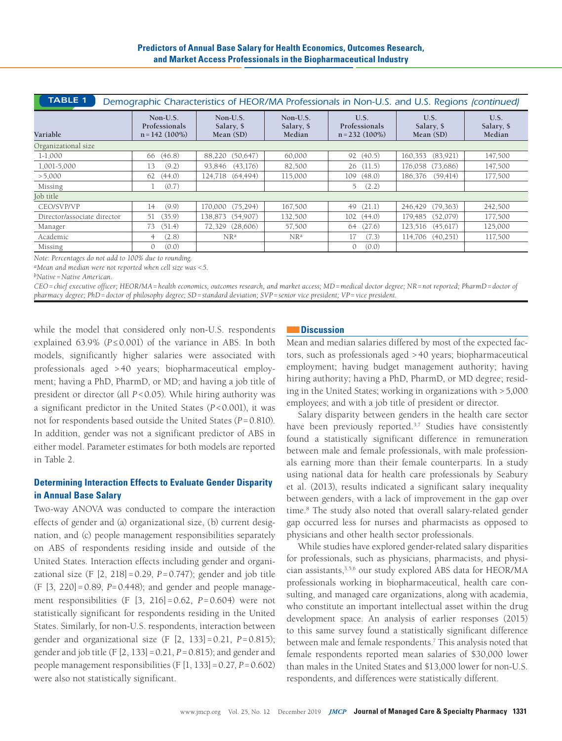| <b>TABLE 1</b><br>Demographic Characteristics of HEOR/MA Professionals in Non-U.S. and U.S. Regions (continued) |                        |                                     |                                  |                                            |                                 |                              |  |
|-----------------------------------------------------------------------------------------------------------------|------------------------|-------------------------------------|----------------------------------|--------------------------------------------|---------------------------------|------------------------------|--|
| Non-U.S.<br>Professionals<br>$n = 142 (100\%)$<br>Variable                                                      |                        | Non-U.S.<br>Salary, \$<br>Mean (SD) | Non-U.S.<br>Salary, \$<br>Median | U.S.<br>Professionals<br>$n = 232 (100\%)$ | U.S.<br>Salary, \$<br>Mean (SD) | U.S.<br>Salary, \$<br>Median |  |
| Organizational size                                                                                             |                        |                                     |                                  |                                            |                                 |                              |  |
| $1-1,000$                                                                                                       | (46.8)<br>66           | 88,220 (50,647)                     | 60,000                           | 92 (40.5)                                  | (83,921)<br>160,353             | 147,500                      |  |
| 1,001-5,000                                                                                                     | (9.2)<br>13            | 93,846 (43,176)                     | 82,500                           | 26(11.5)                                   | 176,058 (73,686)                | 147,500                      |  |
| > 5,000                                                                                                         | (44.0)<br>62           | 124,718 (64,494)                    | 115,000                          | 109(48.0)                                  | (59, 414)<br>186,376            | 177,500                      |  |
| Missing                                                                                                         | (0.7)                  |                                     |                                  | 5(2.2)                                     |                                 |                              |  |
| Job title                                                                                                       |                        |                                     |                                  |                                            |                                 |                              |  |
| CEO/SVP/VP                                                                                                      | (9.9)<br>14            | 170,000 (75,294)                    | 167,500                          | (21.1)<br>49                               | (79, 363)<br>246,429            | 242,500                      |  |
| Director/associate director                                                                                     | (35.9)<br>51           | 138,873 (54,907)                    | 132,500                          | 102(44.0)                                  | (52,079)<br>179,485             | 177,500                      |  |
| Manager                                                                                                         | (51.4)<br>73           | 72,329 (28,606)                     | 57,500                           | 64 (27.6)                                  | (45,617)<br>123,516             | 125,000                      |  |
| Academic                                                                                                        | (2.8)<br>4             | NR <sup>a</sup>                     | NR <sup>a</sup>                  | (7.3)<br>17                                | 114.706<br>(40,251)             | 117,500                      |  |
| Missing                                                                                                         | (0.0)<br>$\mathcal{O}$ |                                     |                                  | (0.0)<br>$\mathbf{0}$                      |                                 |                              |  |

*Note: Percentages do not add to 100% due to rounding.*

*aMean and median were not reported when cell size was <5.*

*bNative=Native American.* 

*CEO=chief executive officer; HEOR/MA=health economics, outcomes research, and market access; MD=medical doctor degree; NR=not reported; PharmD=doctor of pharmacy degree; PhD=doctor of philosophy degree; SD=standard deviation; SVP=senior vice president; VP=vice president.* 

while the model that considered only non-U.S. respondents explained 63.9% (*P*≤0.001) of the variance in ABS. In both models, significantly higher salaries were associated with professionals aged > 40 years; biopharmaceutical employment; having a PhD, PharmD, or MD; and having a job title of president or director (all *P*<0.05). While hiring authority was a significant predictor in the United States (*P*<0.001), it was not for respondents based outside the United States (*P*=0.810). In addition, gender was not a significant predictor of ABS in either model. Parameter estimates for both models are reported in Table 2.

# **Determining Interaction Effects to Evaluate Gender Disparity in Annual Base Salary**

Two-way ANOVA was conducted to compare the interaction effects of gender and (a) organizational size, (b) current designation, and (c) people management responsibilities separately on ABS of respondents residing inside and outside of the United States. Interaction effects including gender and organizational size (F [2, 218]=0.29, *P*=0.747); gender and job title (F [3, 220]=0.89, *P*=0.448); and gender and people management responsibilities  $(F [3, 216] = 0.62, P = 0.604)$  were not statistically significant for respondents residing in the United States. Similarly, for non-U.S. respondents, interaction between gender and organizational size (F [2, 133]=0.21, *P*=0.815); gender and job title (F [2, 133]=0.21, *P*=0.815); and gender and people management responsibilities (F [1, 133]=0.27, *P*=0.602) were also not statistically significant.

## ■■**Discussion**

Mean and median salaries differed by most of the expected factors, such as professionals aged >40 years; biopharmaceutical employment; having budget management authority; having hiring authority; having a PhD, PharmD, or MD degree; residing in the United States; working in organizations with >5,000 employees; and with a job title of president or director.

Salary disparity between genders in the health care sector have been previously reported.<sup>3,7</sup> Studies have consistently found a statistically significant difference in remuneration between male and female professionals, with male professionals earning more than their female counterparts. In a study using national data for health care professionals by Seabury et al. (2013), results indicated a significant salary inequality between genders, with a lack of improvement in the gap over time.8 The study also noted that overall salary-related gender gap occurred less for nurses and pharmacists as opposed to physicians and other health sector professionals.

While studies have explored gender-related salary disparities for professionals, such as physicians, pharmacists, and physician assistants,3,5,6 our study explored ABS data for HEOR/MA professionals working in biopharmaceutical, health care consulting, and managed care organizations, along with academia, who constitute an important intellectual asset within the drug development space. An analysis of earlier responses (2015) to this same survey found a statistically significant difference between male and female respondents.<sup>7</sup> This analysis noted that female respondents reported mean salaries of \$30,000 lower than males in the United States and \$13,000 lower for non-U.S. respondents, and differences were statistically different.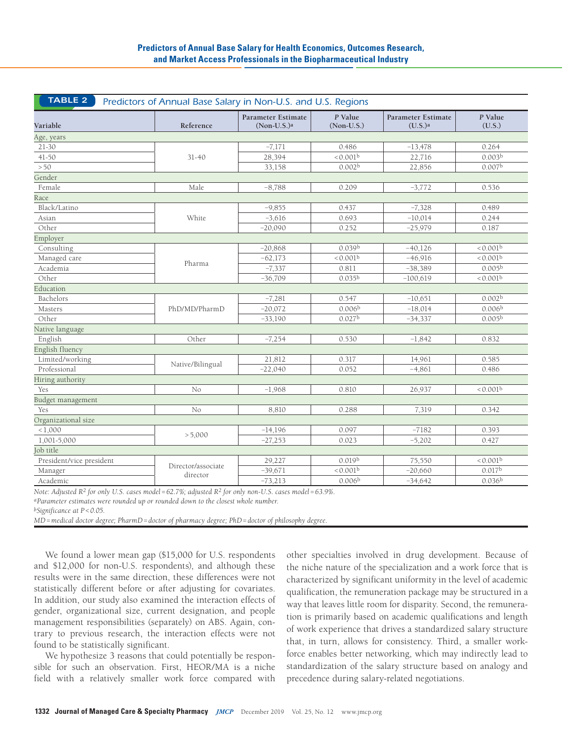| TABLE 2<br>Predictors of Annual Base Salary in Non-U.S. and U.S. Regions |                    |                                            |                         |                                                  |                      |  |  |
|--------------------------------------------------------------------------|--------------------|--------------------------------------------|-------------------------|--------------------------------------------------|----------------------|--|--|
| Variable                                                                 | Reference          | <b>Parameter Estimate</b><br>$(Non-U.S.)a$ | P Value<br>$(Non-U.S.)$ | <b>Parameter Estimate</b><br>(U.S.) <sup>a</sup> | P Value<br>(U.S.)    |  |  |
| Age, years                                                               |                    |                                            |                         |                                                  |                      |  |  |
| 21-30                                                                    |                    | $-7,171$                                   | 0.486                   | $-13,478$                                        | 0.264                |  |  |
| $41 - 50$                                                                | $31 - 40$          | 28,394                                     | < 0.001 <sup>b</sup>    | 22,716                                           | 0.003 <sup>b</sup>   |  |  |
| $>50$                                                                    |                    | 33,158                                     | 0.002 <sup>b</sup>      | 22,856                                           | 0.007 <sup>b</sup>   |  |  |
| Gender                                                                   |                    |                                            |                         |                                                  |                      |  |  |
| Female                                                                   | Male               | $-8,788$                                   | 0.209                   | $-3,772$                                         | 0.536                |  |  |
| Race                                                                     |                    |                                            |                         |                                                  |                      |  |  |
| Black/Latino                                                             |                    | $-9,855$                                   | 0.437                   | $-7,328$                                         | 0.489                |  |  |
| Asian                                                                    | White              | $-3,616$                                   | 0.693                   | $-10,014$                                        | 0.244                |  |  |
| Other                                                                    |                    | $-20,090$                                  | 0.252                   | $-25,979$                                        | 0.187                |  |  |
| Employer                                                                 |                    |                                            |                         |                                                  |                      |  |  |
| Consulting                                                               |                    | $-20,868$                                  | 0.039 <sup>b</sup>      | $-40,126$                                        | < 0.001 <sup>b</sup> |  |  |
| Managed care                                                             |                    | $-62,173$                                  | < 0.001 <sup>b</sup>    | $-46,916$                                        | < 0.001 <sup>b</sup> |  |  |
| Academia                                                                 | Pharma             | $-7,337$                                   | 0.811                   | $-38,389$                                        | 0.005 <sup>b</sup>   |  |  |
| Other                                                                    |                    | $-36,709$                                  | 0.035 <sup>b</sup>      | $-100,619$                                       | < 0.001 <sup>b</sup> |  |  |
| Education                                                                |                    |                                            |                         |                                                  |                      |  |  |
| Bachelors                                                                |                    | $-7,281$                                   | 0.547                   | $-10,651$                                        | 0.002 <sup>b</sup>   |  |  |
| Masters                                                                  | PhD/MD/PharmD      | $-20,072$                                  | 0.006 <sup>b</sup>      | $-18,014$                                        | 0.006 <sup>b</sup>   |  |  |
| Other                                                                    |                    | $-33,190$                                  | 0.027 <sup>b</sup>      | $-34,337$                                        | 0.005 <sup>b</sup>   |  |  |
| Native language                                                          |                    |                                            |                         |                                                  |                      |  |  |
| English                                                                  | Other              | $-7,254$                                   | 0.530                   | $-1,842$                                         | 0.832                |  |  |
| English fluency                                                          |                    |                                            |                         |                                                  |                      |  |  |
| Limited/working                                                          |                    | 21,812                                     | 0.317                   | 14,961                                           | 0.585                |  |  |
| Professional                                                             | Native/Bilingual   | $-22,040$                                  | 0.052                   | $-4,861$                                         | 0.486                |  |  |
| Hiring authority                                                         |                    |                                            |                         |                                                  |                      |  |  |
| Yes                                                                      | No                 | $-1,968$                                   | 0.810                   | 26,937                                           | < 0.001 <sup>b</sup> |  |  |
| Budget management                                                        |                    |                                            |                         |                                                  |                      |  |  |
| Yes                                                                      | No                 | 8,810                                      | 0.288                   | 7,319                                            | 0.342                |  |  |
| Organizational size                                                      |                    |                                            |                         |                                                  |                      |  |  |
| < 1,000                                                                  |                    | $-14,196$                                  | 0.097                   | $-7182$                                          | 0.393                |  |  |
| 1,001-5,000                                                              | > 5,000            | $-27,253$                                  | 0.023                   | $-5,202$                                         | 0.427                |  |  |
| Job title                                                                |                    |                                            |                         |                                                  |                      |  |  |
| President/vice president                                                 |                    | 29,227                                     | 0.019 <sup>b</sup>      | 75,550                                           | < 0.001 <sup>b</sup> |  |  |
| Manager                                                                  | Director/associate | $-39,671$                                  | < 0.001 <sup>b</sup>    | $-20,660$                                        | 0.017 <sup>b</sup>   |  |  |
| Academic                                                                 | director           | $-73,213$                                  | 0.006 <sup>b</sup>      | $-34,642$                                        | 0.036 <sup>b</sup>   |  |  |

*Note: Adjusted R2 for only U.S. cases model=62.7%; adjusted R2 for only non-U.S. cases model=63.9%.*

*aParameter estimates were rounded up or rounded down to the closest whole number.*

*bSignificance at P<0.05.*

*MD=medical doctor degree; PharmD=doctor of pharmacy degree; PhD=doctor of philosophy degree.*

We found a lower mean gap (\$15,000 for U.S. respondents and \$12,000 for non-U.S. respondents), and although these results were in the same direction, these differences were not statistically different before or after adjusting for covariates. In addition, our study also examined the interaction effects of gender, organizational size, current designation, and people management responsibilities (separately) on ABS. Again, contrary to previous research, the interaction effects were not found to be statistically significant.

We hypothesize 3 reasons that could potentially be responsible for such an observation. First, HEOR/MA is a niche field with a relatively smaller work force compared with other specialties involved in drug development. Because of the niche nature of the specialization and a work force that is characterized by significant uniformity in the level of academic qualification, the remuneration package may be structured in a way that leaves little room for disparity. Second, the remuneration is primarily based on academic qualifications and length of work experience that drives a standardized salary structure that, in turn, allows for consistency. Third, a smaller workforce enables better networking, which may indirectly lead to standardization of the salary structure based on analogy and precedence during salary-related negotiations.